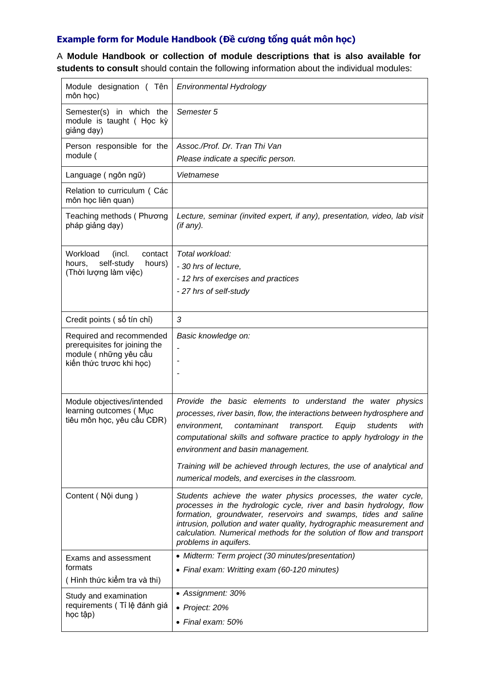## **Example form for Module Handbook (Đề cương tổng quát môn học)**

A **Module Handbook or collection of module descriptions that is also available for students to consult** should contain the following information about the individual modules:

| Module designation (Tên<br>môn học)                                                                             | Environmental Hydrology                                                                                                                                                                                                                                                                                                                                                                                                                                   |
|-----------------------------------------------------------------------------------------------------------------|-----------------------------------------------------------------------------------------------------------------------------------------------------------------------------------------------------------------------------------------------------------------------------------------------------------------------------------------------------------------------------------------------------------------------------------------------------------|
| Semester(s) in which the<br>module is taught ( Học kỳ<br>giảng dạy)                                             | Semester 5                                                                                                                                                                                                                                                                                                                                                                                                                                                |
| Person responsible for the<br>module (                                                                          | Assoc./Prof. Dr. Tran Thi Van                                                                                                                                                                                                                                                                                                                                                                                                                             |
|                                                                                                                 | Please indicate a specific person.                                                                                                                                                                                                                                                                                                                                                                                                                        |
| Language (ngôn ngữ)                                                                                             | Vietnamese                                                                                                                                                                                                                                                                                                                                                                                                                                                |
| Relation to curriculum (Các<br>môn học liên quan)                                                               |                                                                                                                                                                                                                                                                                                                                                                                                                                                           |
| Teaching methods (Phương<br>pháp giảng dạy)                                                                     | Lecture, seminar (invited expert, if any), presentation, video, lab visit<br>(if any).                                                                                                                                                                                                                                                                                                                                                                    |
| Workload<br>contact<br>(incl.<br>self-study<br>hours.<br>hours)<br>(Thời lượng làm việc)                        | Total workload:                                                                                                                                                                                                                                                                                                                                                                                                                                           |
|                                                                                                                 | - 30 hrs of lecture,                                                                                                                                                                                                                                                                                                                                                                                                                                      |
|                                                                                                                 | - 12 hrs of exercises and practices                                                                                                                                                                                                                                                                                                                                                                                                                       |
|                                                                                                                 | - 27 hrs of self-study                                                                                                                                                                                                                                                                                                                                                                                                                                    |
| Credit points (số tín chỉ)                                                                                      | 3                                                                                                                                                                                                                                                                                                                                                                                                                                                         |
| Required and recommended<br>prerequisites for joining the<br>module ( những yêu cầu<br>kiến thức trược khi học) | Basic knowledge on:                                                                                                                                                                                                                                                                                                                                                                                                                                       |
| Module objectives/intended<br>learning outcomes (Muc<br>tiêu môn học, yêu cầu CĐR)                              | Provide the basic elements to understand the water physics<br>processes, river basin, flow, the interactions between hydrosphere and<br>contaminant<br>environment,<br>students<br>with<br>transport.<br>Equip<br>computational skills and software practice to apply hydrology in the<br>environment and basin management.<br>Training will be achieved through lectures, the use of analytical and<br>numerical models, and exercises in the classroom. |
| Content (Nội dung)                                                                                              | Students achieve the water physics processes, the water cycle,<br>processes in the hydrologic cycle, river and basin hydrology, flow<br>formation, groundwater, reservoirs and swamps, tides and saline<br>intrusion, pollution and water quality, hydrographic measurement and<br>calculation. Numerical methods for the solution of flow and transport<br>problems in aquifers.                                                                         |
| Exams and assessment<br>formats<br>(Hình thức kiểm tra và thi)                                                  | • Midterm: Term project (30 minutes/presentation)                                                                                                                                                                                                                                                                                                                                                                                                         |
|                                                                                                                 | • Final exam: Writting exam (60-120 minutes)                                                                                                                                                                                                                                                                                                                                                                                                              |
| Study and examination<br>requirements (Tỉ lệ đánh giá<br>học tập)                                               | • Assignment: 30%                                                                                                                                                                                                                                                                                                                                                                                                                                         |
|                                                                                                                 | • Project: 20%                                                                                                                                                                                                                                                                                                                                                                                                                                            |
|                                                                                                                 | • Final exam: 50%                                                                                                                                                                                                                                                                                                                                                                                                                                         |